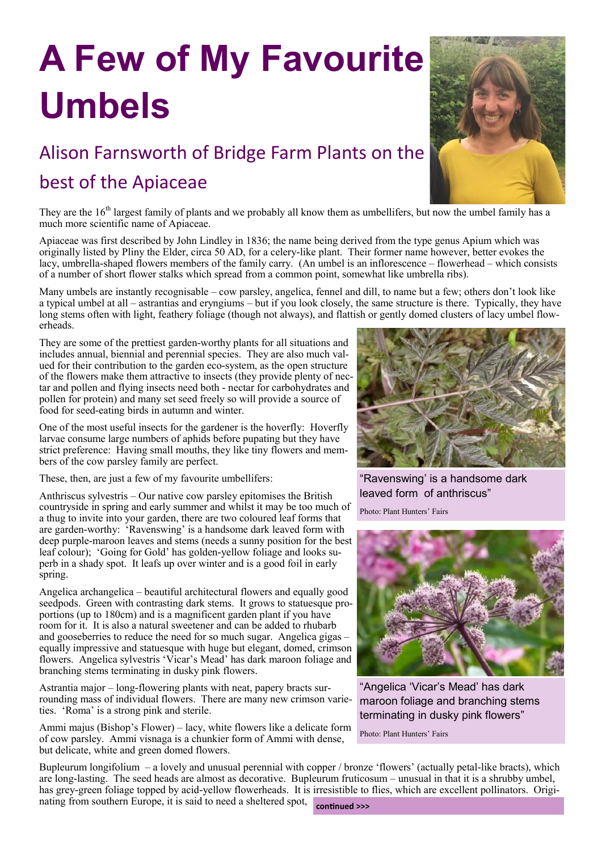## **A Few of My Favourite Umbels**

## Alison Farnsworth of Bridge Farm Plants on the

## best of the Apiaceae



They are the 16<sup>th</sup> largest family of plants and we probably all know them as umbellifers, but now the umbel family has a much more scientific name of Apiaceae.

Apiaceae was first described by John Lindley in 1836; the name being derived from the type genus Apium which was originally listed by Pliny the Elder, circa 50 AD, for a celery-like plant. Their former name however, better evokes the lacy, umbrella-shaped flowers members of the family carry. (An umbel is an inflorescence – flowerhead – which consists of a number of short flower stalks which spread from a common point, somewhat like umbrella ribs).

Many umbels are instantly recognisable – cow parsley, angelica, fennel and dill, to name but a few; others don't look like a typical umbel at all – astrantias and eryngiums – but if you look closely, the same structure is there. Typically, they have long stems often with light, feathery foliage (though not always), and flattish or gently domed clusters of lacy umbel flowerheads.

They are some of the prettiest garden-worthy plants for all situations and includes annual, biennial and perennial species. They are also much valued for their contribution to the garden eco-system, as the open structure of the flowers make them attractive to insects (they provide plenty of nectar and pollen and flying insects need both - nectar for carbohydrates and pollen for protein) and many set seed freely so will provide a source of food for seed-eating birds in autumn and winter.

One of the most useful insects for the gardener is the hoverfly: Hoverfly larvae consume large numbers of aphids before pupating but they have strict preference: Having small mouths, they like tiny flowers and members of the cow parsley family are perfect.

These, then, are just a few of my favourite umbellifers:

Anthriscus sylvestris – Our native cow parsley epitomises the British countryside in spring and early summer and whilst it may be too much of a thug to invite into your garden, there are two coloured leaf forms that are garden-worthy: 'Ravenswing' is a handsome dark leaved form with deep purple-maroon leaves and stems (needs a sunny position for the best leaf colour); 'Going for Gold' has golden-yellow foliage and looks superb in a shady spot. It leafs up over winter and is a good foil in early spring.

Angelica archangelica – beautiful architectural flowers and equally good seedpods. Green with contrasting dark stems. It grows to statuesque proportions (up to 180cm) and is a magnificent garden plant if you have room for it. It is also a natural sweetener and can be added to rhubarb and gooseberries to reduce the need for so much sugar. Angelica gigas – equally impressive and statuesque with huge but elegant, domed, crimson flowers. Angelica sylvestris 'Vicar's Mead' has dark maroon foliage and branching stems terminating in dusky pink flowers.

Astrantia major – long-flowering plants with neat, papery bracts surrounding mass of individual flowers. There are many new crimson varieties. 'Roma' is a strong pink and sterile.

Ammi majus (Bishop's Flower) – lacy, white flowers like a delicate form of cow parsley. Ammi visnaga is a chunkier form of Ammi with dense, but delicate, white and green domed flowers.



"Ravenswing' is a handsome dark leaved form of anthriscus"

Photo: Plant Hunters' Fairs



"Angelica 'Vicar's Mead' has dark maroon foliage and branching stems terminating in dusky pink flowers"

Photo: Plant Hunters' Fairs

Bupleurum longifolium – a lovely and unusual perennial with copper / bronze 'flowers' (actually petal-like bracts), which are long-lasting. The seed heads are almost as decorative. Bupleurum fruticosum – unusual in that it is a shrubby umbel, has grey-green foliage topped by acid-yellow flowerheads. It is irresistible to flies, which are excellent pollinators. Originating from southern Europe, it is said to need a sheltered spot,